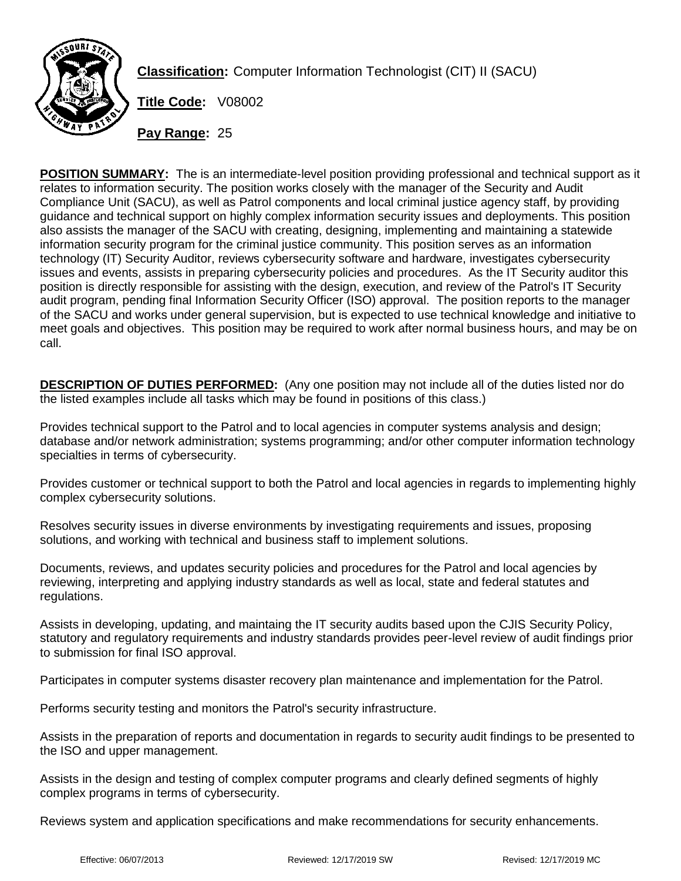

**Classification:** Computer Information Technologist (CIT) II (SACU)

**Title Code:** V08002

**Pay Range:** 25

**POSITION SUMMARY:** The is an intermediate-level position providing professional and technical support as it relates to information security. The position works closely with the manager of the Security and Audit Compliance Unit (SACU), as well as Patrol components and local criminal justice agency staff, by providing guidance and technical support on highly complex information security issues and deployments. This position also assists the manager of the SACU with creating, designing, implementing and maintaining a statewide information security program for the criminal justice community. This position serves as an information technology (IT) Security Auditor, reviews cybersecurity software and hardware, investigates cybersecurity issues and events, assists in preparing cybersecurity policies and procedures. As the IT Security auditor this position is directly responsible for assisting with the design, execution, and review of the Patrol's IT Security audit program, pending final Information Security Officer (ISO) approval. The position reports to the manager of the SACU and works under general supervision, but is expected to use technical knowledge and initiative to meet goals and objectives. This position may be required to work after normal business hours, and may be on call.

**DESCRIPTION OF DUTIES PERFORMED:** (Any one position may not include all of the duties listed nor do the listed examples include all tasks which may be found in positions of this class.)

Provides technical support to the Patrol and to local agencies in computer systems analysis and design; database and/or network administration; systems programming; and/or other computer information technology specialties in terms of cybersecurity.

Provides customer or technical support to both the Patrol and local agencies in regards to implementing highly complex cybersecurity solutions.

Resolves security issues in diverse environments by investigating requirements and issues, proposing solutions, and working with technical and business staff to implement solutions.

Documents, reviews, and updates security policies and procedures for the Patrol and local agencies by reviewing, interpreting and applying industry standards as well as local, state and federal statutes and regulations.

Assists in developing, updating, and maintaing the IT security audits based upon the CJIS Security Policy, statutory and regulatory requirements and industry standards provides peer-level review of audit findings prior to submission for final ISO approval.

Participates in computer systems disaster recovery plan maintenance and implementation for the Patrol.

Performs security testing and monitors the Patrol's security infrastructure.

Assists in the preparation of reports and documentation in regards to security audit findings to be presented to the ISO and upper management.

Assists in the design and testing of complex computer programs and clearly defined segments of highly complex programs in terms of cybersecurity.

Reviews system and application specifications and make recommendations for security enhancements.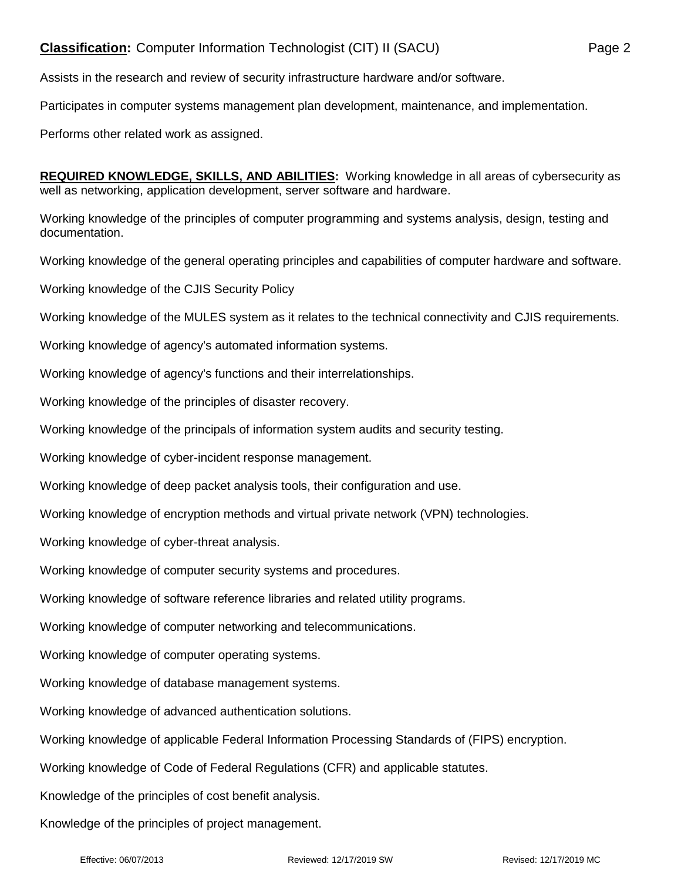## **Classification:** Computer Information Technologist (CIT) II (SACU) Page 2

Assists in the research and review of security infrastructure hardware and/or software.

Participates in computer systems management plan development, maintenance, and implementation.

Performs other related work as assigned.

**REQUIRED KNOWLEDGE, SKILLS, AND ABILITIES:** Working knowledge in all areas of cybersecurity as well as networking, application development, server software and hardware.

Working knowledge of the principles of computer programming and systems analysis, design, testing and documentation.

Working knowledge of the general operating principles and capabilities of computer hardware and software.

Working knowledge of the CJIS Security Policy

Working knowledge of the MULES system as it relates to the technical connectivity and CJIS requirements.

Working knowledge of agency's automated information systems.

Working knowledge of agency's functions and their interrelationships.

Working knowledge of the principles of disaster recovery.

Working knowledge of the principals of information system audits and security testing.

Working knowledge of cyber-incident response management.

Working knowledge of deep packet analysis tools, their configuration and use.

Working knowledge of encryption methods and virtual private network (VPN) technologies.

Working knowledge of cyber-threat analysis.

Working knowledge of computer security systems and procedures.

Working knowledge of software reference libraries and related utility programs.

Working knowledge of computer networking and telecommunications.

Working knowledge of computer operating systems.

Working knowledge of database management systems.

Working knowledge of advanced authentication solutions.

Working knowledge of applicable Federal Information Processing Standards of (FIPS) encryption.

Working knowledge of Code of Federal Regulations (CFR) and applicable statutes.

Knowledge of the principles of cost benefit analysis.

Knowledge of the principles of project management.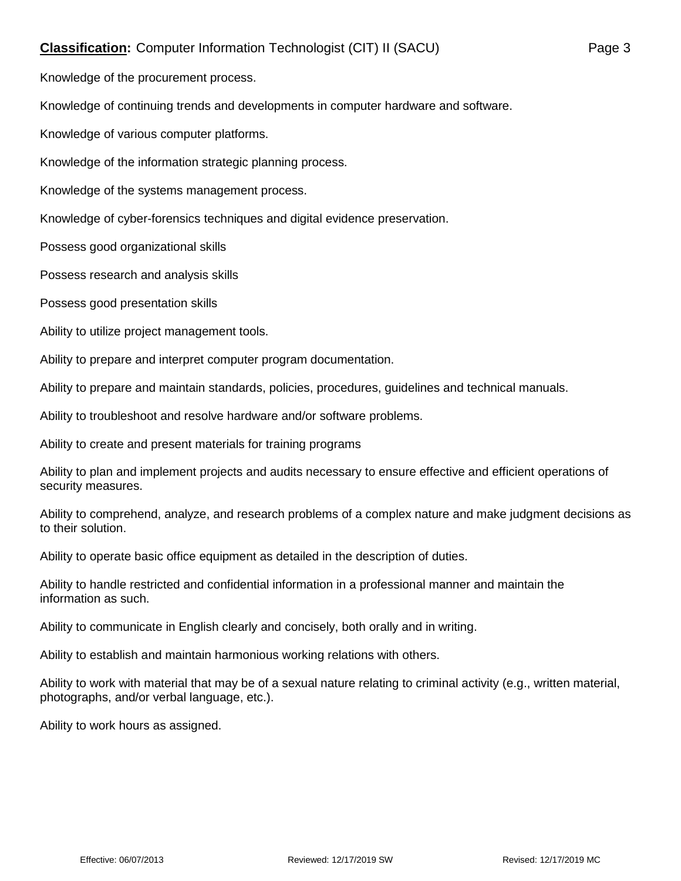## **Classification:** Computer Information Technologist (CIT) II (SACU) Page 3

Knowledge of the procurement process.

Knowledge of continuing trends and developments in computer hardware and software.

Knowledge of various computer platforms.

Knowledge of the information strategic planning process.

Knowledge of the systems management process.

Knowledge of cyber-forensics techniques and digital evidence preservation.

Possess good organizational skills

Possess research and analysis skills

Possess good presentation skills

Ability to utilize project management tools.

Ability to prepare and interpret computer program documentation.

Ability to prepare and maintain standards, policies, procedures, guidelines and technical manuals.

Ability to troubleshoot and resolve hardware and/or software problems.

Ability to create and present materials for training programs

Ability to plan and implement projects and audits necessary to ensure effective and efficient operations of security measures.

Ability to comprehend, analyze, and research problems of a complex nature and make judgment decisions as to their solution.

Ability to operate basic office equipment as detailed in the description of duties.

Ability to handle restricted and confidential information in a professional manner and maintain the information as such.

Ability to communicate in English clearly and concisely, both orally and in writing.

Ability to establish and maintain harmonious working relations with others.

Ability to work with material that may be of a sexual nature relating to criminal activity (e.g., written material, photographs, and/or verbal language, etc.).

Ability to work hours as assigned.